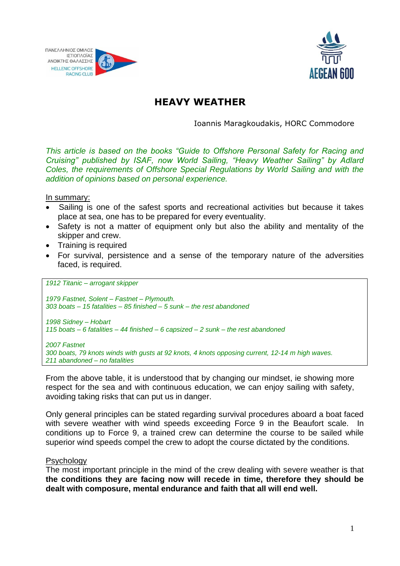



# **HEAVY WEATHER**

Ioannis Maragkoudakis, HORC Commodore

*This article is based on the books "Guide to Offshore Personal Safety for Racing and Cruising" published by ISAF, now World Sailing, "Heavy Weather Sailing" by Adlard Coles, the requirements of Offshore Special Regulations by World Sailing and with the addition of opinions based on personal experience.*

In summary:

- Sailing is one of the safest sports and recreational activities but because it takes place at sea, one has to be prepared for every eventuality.
- Safety is not a matter of equipment only but also the ability and mentality of the skipper and crew.
- Training is required
- For survival, persistence and a sense of the temporary nature of the adversities faced, is required.

*1912 Titanic – arrogant skipper*

*1979 Fastnet, Solent – Fastnet – Plymouth. 303 boats – 15 fatalities – 85 finished – 5 sunk – the rest abandoned 1998 Sidney – Hobart 115 boats – 6 fatalities – 44 finished – 6 capsized – 2 sunk – the rest abandoned 2007 Fastnet*

*300 boats, 79 knots winds with gusts at 92 knots, 4 knots opposing current, 12-14 m high waves. 211 abandoned – no fatalities*

From the above table, it is understood that by changing our mindset, ie showing more respect for the sea and with continuous education, we can enjoy sailing with safety, avoiding taking risks that can put us in danger.

Only general principles can be stated regarding survival procedures aboard a boat faced with severe weather with wind speeds exceeding Force 9 in the Beaufort scale. In conditions up to Force 9, a trained crew can determine the course to be sailed while superior wind speeds compel the crew to adopt the course dictated by the conditions.

#### **Psychology**

The most important principle in the mind of the crew dealing with severe weather is that **the conditions they are facing now will recede in time, therefore they should be dealt with composure, mental endurance and faith that all will end well.**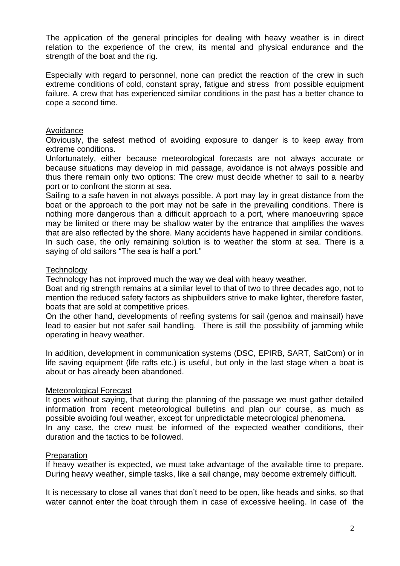The application of the general principles for dealing with heavy weather is in direct relation to the experience of the crew, its mental and physical endurance and the strength of the boat and the rig.

Especially with regard to personnel, none can predict the reaction of the crew in such extreme conditions of cold, constant spray, fatigue and stress from possible equipment failure. A crew that has experienced similar conditions in the past has a better chance to cope a second time.

#### Avoidance

Obviously, the safest method of avoiding exposure to danger is to keep away from extreme conditions.

Unfortunately, either because meteorological forecasts are not always accurate or because situations may develop in mid passage, avoidance is not always possible and thus there remain only two options: The crew must decide whether to sail to a nearby port or to confront the storm at sea.

Sailing to a safe haven in not always possible. A port may lay in great distance from the boat or the approach to the port may not be safe in the prevailing conditions. There is nothing more dangerous than a difficult approach to a port, where manoeuvring space may be limited or there may be shallow water by the entrance that amplifies the waves that are also reflected by the shore. Many accidents have happened in similar conditions. In such case, the only remaining solution is to weather the storm at sea. There is a saying of old sailors "The sea is half a port."

## **Technology**

Technology has not improved much the way we deal with heavy weather.

Boat and rig strength remains at a similar level to that of two to three decades ago, not to mention the reduced safety factors as shipbuilders strive to make lighter, therefore faster, boats that are sold at competitive prices.

On the other hand, developments of reefing systems for sail (genoa and mainsail) have lead to easier but not safer sail handling. There is still the possibility of jamming while operating in heavy weather.

In addition, development in communication systems (DSC, EPIRB, SART, SatCom) or in life saving equipment (life rafts etc.) is useful, but only in the last stage when a boat is about or has already been abandoned.

## Meteorological Forecast

It goes without saying, that during the planning of the passage we must gather detailed information from recent meteorological bulletins and plan our course, as much as possible avoiding foul weather, except for unpredictable meteorological phenomena. In any case, the crew must be informed of the expected weather conditions, their duration and the tactics to be followed.

#### Preparation

If heavy weather is expected, we must take advantage of the available time to prepare. During heavy weather, simple tasks, like a sail change, may become extremely difficult.

It is necessary to close all vanes that don't need to be open, like heads and sinks, so that water cannot enter the boat through them in case of excessive heeling. In case of the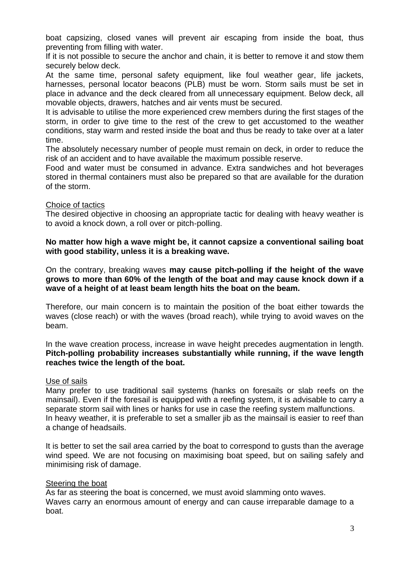boat capsizing, closed vanes will prevent air escaping from inside the boat, thus preventing from filling with water.

If it is not possible to secure the anchor and chain, it is better to remove it and stow them securely below deck.

At the same time, personal safety equipment, like foul weather gear, life jackets, harnesses, personal locator beacons (PLB) must be worn. Storm sails must be set in place in advance and the deck cleared from all unnecessary equipment. Below deck, all movable objects, drawers, hatches and air vents must be secured.

It is advisable to utilise the more experienced crew members during the first stages of the storm, in order to give time to the rest of the crew to get accustomed to the weather conditions, stay warm and rested inside the boat and thus be ready to take over at a later time.

The absolutely necessary number of people must remain on deck, in order to reduce the risk of an accident and to have available the maximum possible reserve.

Food and water must be consumed in advance. Extra sandwiches and hot beverages stored in thermal containers must also be prepared so that are available for the duration of the storm.

#### Choice of tactics

The desired objective in choosing an appropriate tactic for dealing with heavy weather is to avoid a knock down, a roll over or pitch-polling.

#### **No matter how high a wave might be, it cannot capsize a conventional sailing boat with good stability, unless it is a breaking wave.**

On the contrary, breaking waves **may cause pitch-polling if the height of the wave grows to more than 60% of the length of the boat and may cause knock down if a wave of a height of at least beam length hits the boat on the beam.** 

Therefore, our main concern is to maintain the position of the boat either towards the waves (close reach) or with the waves (broad reach), while trying to avoid waves on the beam.

In the wave creation process, increase in wave height precedes augmentation in length. **Pitch-polling probability increases substantially while running, if the wave length reaches twice the length of the boat.**

## Use of sails

Many prefer to use traditional sail systems (hanks on foresails or slab reefs on the mainsail). Even if the foresail is equipped with a reefing system, it is advisable to carry a separate storm sail with lines or hanks for use in case the reefing system malfunctions. In heavy weather, it is preferable to set a smaller jib as the mainsail is easier to reef than a change of headsails.

It is better to set the sail area carried by the boat to correspond to gusts than the average wind speed. We are not focusing on maximising boat speed, but on sailing safely and minimising risk of damage.

## Steering the boat

As far as steering the boat is concerned, we must avoid slamming onto waves. Waves carry an enormous amount of energy and can cause irreparable damage to a boat.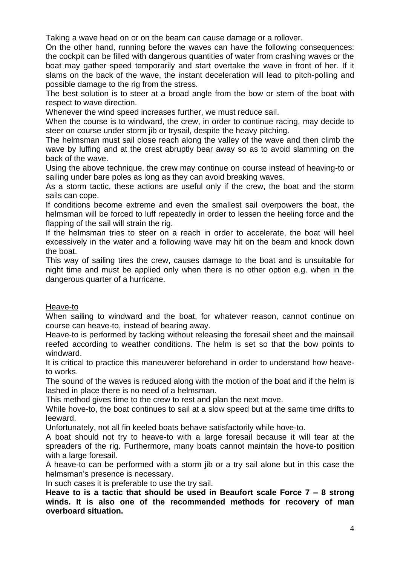Taking a wave head on or on the beam can cause damage or a rollover.

On the other hand, running before the waves can have the following consequences: the cockpit can be filled with dangerous quantities of water from crashing waves or the boat may gather speed temporarily and start overtake the wave in front of her. If it slams on the back of the wave, the instant deceleration will lead to pitch-polling and possible damage to the rig from the stress.

The best solution is to steer at a broad angle from the bow or stern of the boat with respect to wave direction.

Whenever the wind speed increases further, we must reduce sail.

When the course is to windward, the crew, in order to continue racing, may decide to steer on course under storm jib or trysail, despite the heavy pitching.

The helmsman must sail close reach along the valley of the wave and then climb the wave by luffing and at the crest abruptly bear away so as to avoid slamming on the back of the wave.

Using the above technique, the crew may continue on course instead of heaving-to or sailing under bare poles as long as they can avoid breaking waves.

As a storm tactic, these actions are useful only if the crew, the boat and the storm sails can cope.

If conditions become extreme and even the smallest sail overpowers the boat, the helmsman will be forced to luff repeatedly in order to lessen the heeling force and the flapping of the sail will strain the rig.

If the helmsman tries to steer on a reach in order to accelerate, the boat will heel excessively in the water and a following wave may hit on the beam and knock down the boat.

This way of sailing tires the crew, causes damage to the boat and is unsuitable for night time and must be applied only when there is no other option e.g. when in the dangerous quarter of a hurricane.

## Heave-to

When sailing to windward and the boat, for whatever reason, cannot continue on course can heave-to, instead of bearing away.

Heave-to is performed by tacking without releasing the foresail sheet and the mainsail reefed according to weather conditions. The helm is set so that the bow points to windward.

It is critical to practice this maneuverer beforehand in order to understand how heaveto works.

The sound of the waves is reduced along with the motion of the boat and if the helm is lashed in place there is no need of a helmsman.

This method gives time to the crew to rest and plan the next move.

While hove-to, the boat continues to sail at a slow speed but at the same time drifts to leeward.

Unfortunately, not all fin keeled boats behave satisfactorily while hove-to.

A boat should not try to heave-to with a large foresail because it will tear at the spreaders of the rig. Furthermore, many boats cannot maintain the hove-to position with a large foresail.

A heave-to can be performed with a storm jib or a try sail alone but in this case the helmsman's presence is necessary.

In such cases it is preferable to use the try sail.

**Heave to is a tactic that should be used in Beaufort scale Force 7 – 8 strong winds. It is also one of the recommended methods for recovery of man overboard situation.**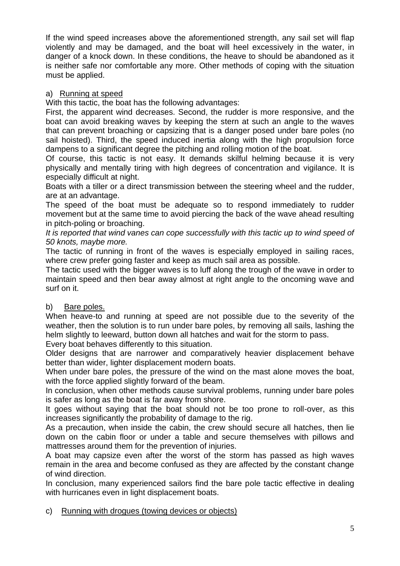If the wind speed increases above the aforementioned strength, any sail set will flap violently and may be damaged, and the boat will heel excessively in the water, in danger of a knock down. In these conditions, the heave to should be abandoned as it is neither safe nor comfortable any more. Other methods of coping with the situation must be applied.

# a) Running at speed

With this tactic, the boat has the following advantages:

First, the apparent wind decreases. Second, the rudder is more responsive, and the boat can avoid breaking waves by keeping the stern at such an angle to the waves that can prevent broaching or capsizing that is a danger posed under bare poles (no sail hoisted). Third, the speed induced inertia along with the high propulsion force dampens to a significant degree the pitching and rolling motion of the boat.

Of course, this tactic is not easy. It demands skilful helming because it is very physically and mentally tiring with high degrees of concentration and vigilance. It is especially difficult at night.

Boats with a tiller or a direct transmission between the steering wheel and the rudder, are at an advantage.

The speed of the boat must be adequate so to respond immediately to rudder movement but at the same time to avoid piercing the back of the wave ahead resulting in pitch-poling or broaching.

*It is reported that wind vanes can cope successfully with this tactic up to wind speed of 50 knots, maybe more.*

The tactic of running in front of the waves is especially employed in sailing races, where crew prefer going faster and keep as much sail area as possible.

The tactic used with the bigger waves is to luff along the trough of the wave in order to maintain speed and then bear away almost at right angle to the oncoming wave and surf on it.

# b) Bare poles.

When heave-to and running at speed are not possible due to the severity of the weather, then the solution is to run under bare poles, by removing all sails, lashing the helm slightly to leeward, button down all hatches and wait for the storm to pass.

Every boat behaves differently to this situation.

Older designs that are narrower and comparatively heavier displacement behave better than wider, lighter displacement modern boats.

When under bare poles, the pressure of the wind on the mast alone moves the boat, with the force applied slightly forward of the beam.

In conclusion, when other methods cause survival problems, running under bare poles is safer as long as the boat is far away from shore.

It goes without saying that the boat should not be too prone to roll-over, as this increases significantly the probability of damage to the rig.

As a precaution, when inside the cabin, the crew should secure all hatches, then lie down on the cabin floor or under a table and secure themselves with pillows and mattresses around them for the prevention of injuries.

A boat may capsize even after the worst of the storm has passed as high waves remain in the area and become confused as they are affected by the constant change of wind direction.

In conclusion, many experienced sailors find the bare pole tactic effective in dealing with hurricanes even in light displacement boats.

c) Running with drogues (towing devices or objects)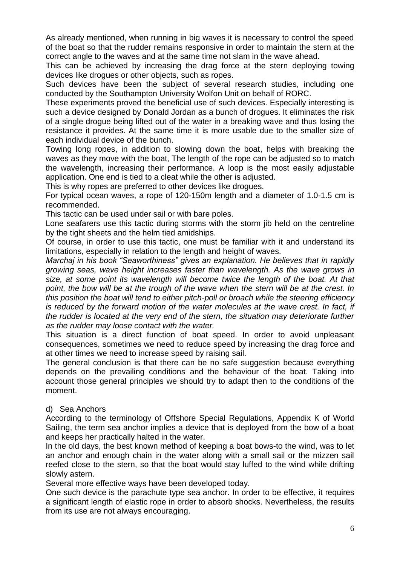As already mentioned, when running in big waves it is necessary to control the speed of the boat so that the rudder remains responsive in order to maintain the stern at the correct angle to the waves and at the same time not slam in the wave ahead.

This can be achieved by increasing the drag force at the stern deploying towing devices like drogues or other objects, such as ropes.

Such devices have been the subject of several research studies, including one conducted by the Southampton University Wolfon Unit on behalf of RORC.

These experiments proved the beneficial use of such devices. Especially interesting is such a device designed by Donald Jordan as a bunch of drogues. It eliminates the risk of a single drogue being lifted out of the water in a breaking wave and thus losing the resistance it provides. At the same time it is more usable due to the smaller size of each individual device of the bunch.

Towing long ropes, in addition to slowing down the boat, helps with breaking the waves as they move with the boat, The length of the rope can be adjusted so to match the wavelength, increasing their performance. A loop is the most easily adjustable application. One end is tied to a cleat while the other is adjusted.

This is why ropes are preferred to other devices like drogues.

For typical ocean waves, a rope of 120-150m length and a diameter of 1.0-1.5 cm is recommended.

This tactic can be used under sail or with bare poles.

Lone seafarers use this tactic during storms with the storm jib held on the centreline by the tight sheets and the helm tied amidships.

Of course, in order to use this tactic, one must be familiar with it and understand its limitations, especially in relation to the length and height of waves.

*Marchaj in his book "Seaworthiness" gives an explanation. He believes that in rapidly growing seas, wave height increases faster than wavelength. As the wave grows in size, at some point its wavelength will become twice the length of the boat. At that point, the bow will be at the trough of the wave when the stern will be at the crest. In this position the boat will tend to either pitch-poll or broach while the steering efficiency is reduced by the forward motion of the water molecules at the wave crest. In fact, if the rudder is located at the very end of the stern, the situation may deteriorate further as the rudder may loose contact with the water.*

This situation is a direct function of boat speed. In order to avoid unpleasant consequences, sometimes we need to reduce speed by increasing the drag force and at other times we need to increase speed by raising sail.

The general conclusion is that there can be no safe suggestion because everything depends on the prevailing conditions and the behaviour of the boat. Taking into account those general principles we should try to adapt then to the conditions of the moment.

## d) Sea Anchors

According to the terminology of Offshore Special Regulations, Appendix K of World Sailing, the term sea anchor implies a device that is deployed from the bow of a boat and keeps her practically halted in the water.

In the old days, the best known method of keeping a boat bows-to the wind, was to let an anchor and enough chain in the water along with a small sail or the mizzen sail reefed close to the stern, so that the boat would stay luffed to the wind while drifting slowly astern.

Several more effective ways have been developed today.

One such device is the parachute type sea anchor. In order to be effective, it requires a significant length of elastic rope in order to absorb shocks. Nevertheless, the results from its use are not always encouraging.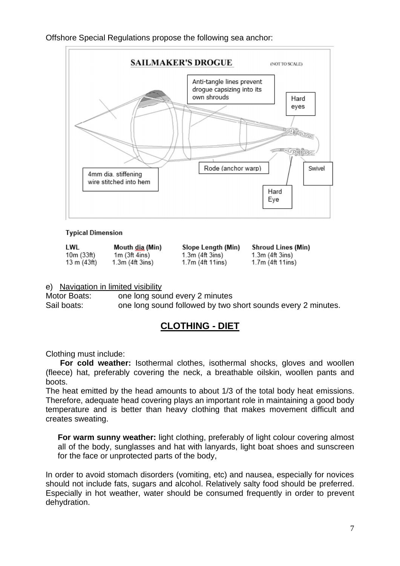## Offshore Special Regulations propose the following sea anchor:



#### **Typical Dimension**

LWL Mouth dia (Min)  $10m(33ft)$  $1m(3ft 4ins)$ 13 m $(43ft)$  $1.3m$  (4ft  $3ins$ )

Slope Lenath (Min)  $1.3m$  (4ft  $3ins$ )  $1.7m$  (4ft 11ins)

**Shroud Lines (Min)**  $1.3m$  (4ft  $3ins$ )  $1.7m$  (4ft 11ins)

## e) Navigation in limited visibility

Motor Boats: one long sound every 2 minutes Sail boats: one long sound followed by two short sounds every 2 minutes.

# **CLOTHING - DIET**

Clothing must include:

**For cold weather:** Isothermal clothes, isothermal shocks, gloves and woollen (fleece) hat, preferably covering the neck, a breathable oilskin, woollen pants and boots.

The heat emitted by the head amounts to about 1/3 of the total body heat emissions. Therefore, adequate head covering plays an important role in maintaining a good body temperature and is better than heavy clothing that makes movement difficult and creates sweating.

**For warm sunny weather:** light clothing, preferably of light colour covering almost all of the body, sunglasses and hat with lanyards, light boat shoes and sunscreen for the face or unprotected parts of the body,

In order to avoid stomach disorders (vomiting, etc) and nausea, especially for novices should not include fats, sugars and alcohol. Relatively salty food should be preferred. Especially in hot weather, water should be consumed frequently in order to prevent dehydration.